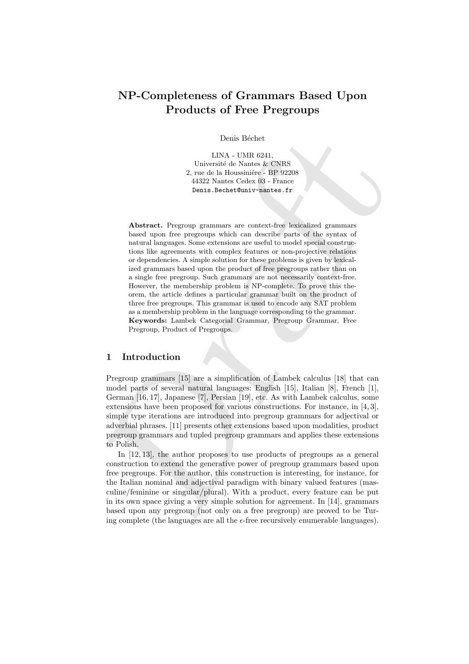# NP-Completeness of Grammars Based Upon Products of Free Pregroups

Denis Béchet

LINA - UMR 6241, Université de Nantes & CNRS 2, rue de la Houssinière - BP 92208 44322 Nantes Cedex 03 - France Denis.Bechet@univ-nantes.fr

Denis Béchet (1818).<br>
11.1804 - 11.1818, 11.1818, 12.1818, 22.11 and the liberation<br>
2.1912 - 2.1922 and the Montes & CNRS 2, procedure in the state of the Montes and Holly<br>
44322 Nuntes Cocks (33 - France 192298). Absorb Abstract. Pregroup grammars are context-free lexicalized grammars based upon free pregroups which can describe parts of the syntax of natural languages. Some extensions are useful to model special constructions like agreements with complex features or non-projective relations or dependencies. A simple solution for these problems is given by lexicalized grammars based upon the product of free pregroups rather than on a single free pregroup. Such grammars are not necessarily context-free. However, the membership problem is NP-complete. To prove this theorem, the article defines a particular grammar built on the product of three free pregroups. This grammar is used to encode any SAT problem as a membership problem in the language corresponding to the grammar. Keywords: Lambek Categorial Grammar, Pregroup Grammar, Free Pregroup, Product of Pregroups.

# 1 Introduction

Pregroup grammars [15] are a simplification of Lambek calculus [18] that can model parts of several natural languages: English [15], Italian [8], French [1], German [16, 17], Japanese [7], Persian [19], etc. As with Lambek calculus, some extensions have been proposed for various constructions. For instance, in [4, 3], simple type iterations are introduced into pregroup grammars for adjectival or adverbial phrases. [11] presents other extensions based upon modalities, product pregroup grammars and tupled pregroup grammars and applies these extensions to Polish.

In [12, 13], the author proposes to use products of pregroups as a general construction to extend the generative power of pregroup grammars based upon free pregroups. For the author, this construction is interesting, for instance, for the Italian nominal and adjectival paradigm with binary valued features (masculine/feminine or singular/plural). With a product, every feature can be put in its own space giving a very simple solution for agreement. In [14], grammars based upon any pregroup (not only on a free pregroup) are proved to be Turing complete (the languages are all the  $\epsilon$ -free recursively enumerable languages).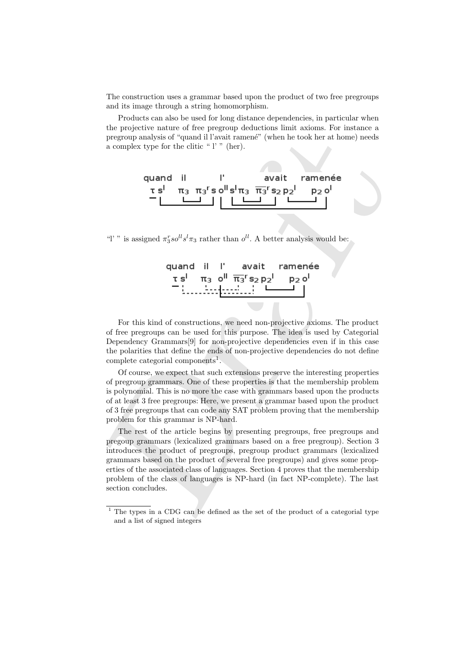The construction uses a grammar based upon the product of two free pregroups and its image through a string homomorphism.

Products can also be used for long distance dependencies, in particular when the projective nature of free pregroup deductions limit axioms. For instance a pregroup analysis of "quand il l'avait ramené" (when he took her at home) needs a complex type for the clitic "l'" (her).



"l' " is assigned  $\pi_3^r so^{ll} s^l \pi_3$  rather than  $o^{ll}$ . A better analysis would be:

|  | quand il l'avait ramenée                                                                                                                                                       |  |
|--|--------------------------------------------------------------------------------------------------------------------------------------------------------------------------------|--|
|  | τs <sup>1</sup> π <sub>3</sub> o <sup>ll</sup> $\overline{\pi_3}$ <sup>r</sup> s <sub>2</sub> p <sub>2</sub> <sup>1</sup> p <sub>2</sub> o <sup>l</sup><br>desertations in the |  |
|  |                                                                                                                                                                                |  |

For this kind of constructions, we need non-projective axioms. The product of free pregroups can be used for this purpose. The idea is used by Categorial Dependency Grammars[9] for non-projective dependencies even if in this case the polarities that define the ends of non-projective dependencies do not define complete categorial components<sup>1</sup>.

Of course, we expect that such extensions preserve the interesting properties of pregroup grammars. One of these properties is that the membership problem is polynomial. This is no more the case with grammars based upon the products of at least 3 free pregroups: Here, we present a grammar based upon the product of 3 free pregroups that can code any SAT problem proving that the membership problem for this grammar is NP-hard.

pregroup analysis of "quand il Tavait ramenc" (when he took her at home) needs<br>a complex type for the ditie " l " (her).<br> **quand il strait ramencée**<br> **c d**<br> **c d**<br> **c d**<br> **c d**<br> **c d**<br> **c d**<br> **c d**<br> **c d**<br> The rest of the article begins by presenting pregroups, free pregroups and pregoup grammars (lexicalized grammars based on a free pregroup). Section 3 introduces the product of pregroups, pregroup product grammars (lexicalized grammars based on the product of several free pregroups) and gives some properties of the associated class of languages. Section 4 proves that the membership problem of the class of languages is NP-hard (in fact NP-complete). The last section concludes.

<sup>&</sup>lt;sup>1</sup> The types in a CDG can be defined as the set of the product of a categorial type and a list of signed integers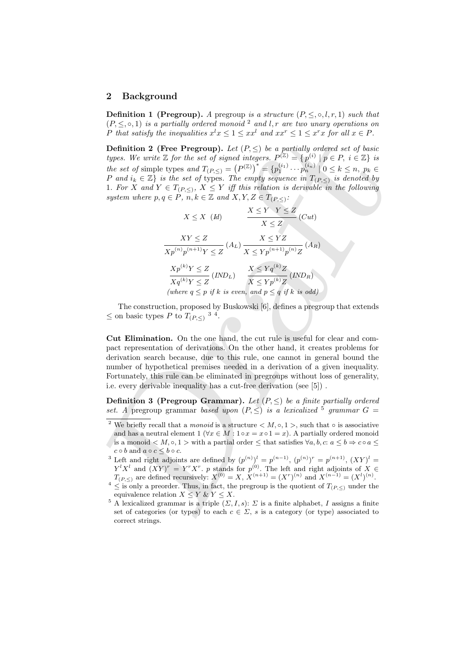## 2 Background

**Definition 1 (Pregroup).** A pregroup is a structure  $(P, \leq, \circ, l, r, 1)$  such that  $(P, \leq, \circ, 1)$  is a partially ordered monoid <sup>2</sup> and l, r are two unary operations on P that satisfy the inequalities  $x^l x \leq 1 \leq xx^l$  and  $xx^r \leq 1 \leq x^r x$  for all  $x \in P$ .

*P* that satisfy the foregreadities  $x^* \le 1 \le x^*$  or at  $x^* \le 1 \le x^*$  or all  $x \in F$ .<br> **Definition 2** (Five Pregroup). Let  $(P_n^2) = \frac{1}{2}p^{(1)} + p^{(2)} = \frac{1}{2}p^{(1)} + p^{(2)} = \frac{1}{2}p^{(2)} + p^{(2)} = \frac{1}{2}p^{(2)} + p^{(2)} = \frac{1}{2}p^{(2)} + p$ **Definition 2 (Free Pregroup).** Let  $(P, \leq)$  be a partially ordered set of basic types. We write  $\mathbb Z$  for the set of signed integers.  $P^{(\mathbb Z)} = \{p^{(i)} \mid p \in P, i \in \mathbb Z\}$  is the set of simple types and  $T_{(P,\leq)} = (P^{(\mathbb{Z})})^* = \{p_1^{(i_1)} \cdots p_n^{(i_n)} \mid 0 \leq k \leq n, p_k \in$ P and  $i_k \in \mathbb{Z}$  is the set of types. The empty sequence in  $T_{(P,\leq)}$  is denoted by 1. For X and  $Y \in T_{(P,\leq)}$ ,  $X \leq Y$  iff this relation is derivable in the following system where  $p, q \in \overrightarrow{P}, \overrightarrow{n}, k \in \mathbb{Z}$  and  $X, Y, Z \in T_{(P, \leq)}$ :

$$
X \leq X \quad (Id) \qquad \frac{X \leq Y \quad Y \leq Z}{X \leq Z} \quad (Cut)
$$
\n
$$
\frac{XY \leq Z}{Xp^{(n)}p^{(n+1)}Y \leq Z} \quad (A_L) \quad \frac{X \leq YZ}{X \leq Yp^{(n+1)}p^{(n)}Z} \quad (A_R)
$$
\n
$$
\frac{Xp^{(k)}Y \leq Z}{Xq^{(k)}Y \leq Z} \quad (IND_L) \qquad \frac{X \leq Yq^{(k)}Z}{X \leq Yp^{(k)}Z} \quad (IND_R)
$$
\n(where  $q \leq p$  if  $k$  is even, and  $p \leq q$  if  $k$  is odd)

The construction, proposed by Buskowski [6], defines a pregroup that extends  $\leq$  on basic types P to  $T_{(P,\leq)}$ <sup>34</sup>.

Cut Elimination. On the one hand, the cut rule is useful for clear and compact representation of derivations. On the other hand, it creates problems for derivation search because, due to this rule, one cannot in general bound the number of hypothetical premises needed in a derivation of a given inequality. Fortunately, this rule can be eliminated in pregroups without loss of generality, i.e. every derivable inequality has a cut-free derivation (see [5]) .

**Definition 3 (Pregroup Grammar).** Let  $(P, \leq)$  be a finite partially ordered set. A pregroup grammar based upon  $(P, \leq)$  is a lexicalized <sup>5</sup> grammar  $G =$ 

<sup>&</sup>lt;sup>2</sup> We briefly recall that a *monoid* is a structure  $\langle M, \circ, 1 \rangle$ , such that  $\circ$  is associative and has a neutral element 1 ( $\forall x \in M : 1 \circ x = x \circ 1 = x$ ). A partially ordered monoid is a monoid  $\langle M, \circ, 1 \rangle$  with a partial order  $\leq$  that satisfies  $\forall a, b, c: a \leq b \Rightarrow c \circ a \leq$  $c \circ b$  and  $a \circ c \leq b \circ c$ .

<sup>&</sup>lt;sup>3</sup> Left and right adjoints are defined by  $(p^{(n)})^l = p^{(n-1)}$ ,  $(p^{(n)})^r = p^{(n+1)}$ ,  $(XY)^l =$  $Y^l X^l$  and  $(XY)^r = Y^r X^r$ . p stands for  $p^{(0)}$ . The left and right adjoints of  $X \in$  $T_{(P,\le)}$  are defined recursively:  $X^{(0)} = X$ ,  $X^{(n+1)} = (X^r)^{(n)}$  and  $X^{(n-1)} = (X^l)^{(n)}$ .

 $4 \leq$  is only a preorder. Thus, in fact, the pregroup is the quotient of  $T_{(P,\leq)}$  under the equivalence relation  $X \leq Y \& Y \leq X$ .

<sup>&</sup>lt;sup>5</sup> A lexicalized grammar is a triple  $(\Sigma, I, s)$ :  $\Sigma$  is a finite alphabet, I assigns a finite set of categories (or types) to each  $c \in \Sigma$ , s is a category (or type) associated to correct strings.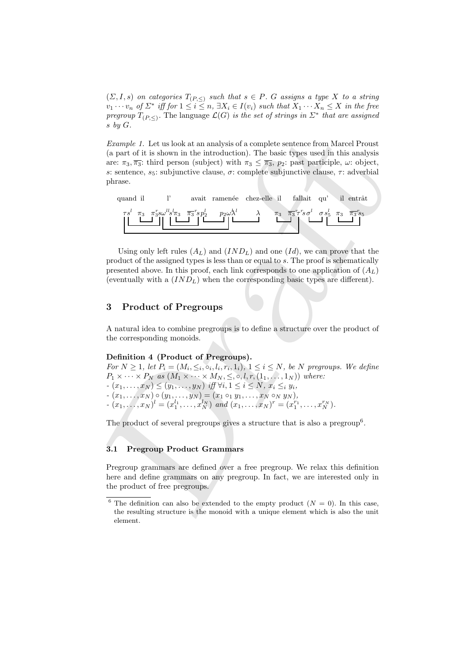$(\Sigma, I, s)$  on categories  $T_{(P,\leq)}$  such that  $s \in P$ . G assigns a type X to a string  $v_1 \cdots v_n$  of  $\Sigma^*$  iff for  $1 \leq i \leq n$ ,  $\exists X_i \in I(v_i)$  such that  $X_1 \cdots X_n \leq X$  in the free pregroup  $T_{(P,\leq)}$ . The language  $\mathcal{L}(G)$  is the set of strings in  $\mathbb{Z}^*$  that are assigned s by G.

Example 1. Let us look at an analysis of a complete sentence from Marcel Proust (a part of it is shown in the introduction). The basic types used in this analysis are:  $\pi_3$ ,  $\overline{\pi_3}$ : third person (subject) with  $\pi_3 \leq \overline{\pi_3}$ ,  $p_2$ : past participle,  $\omega$ : object, s: sentence,  $s_5$ : subjunctive clause,  $\sigma$ : complete subjunctive clause,  $\tau$ : adverbial phrase.



Using only left rules  $(A_L)$  and  $(IND_L)$  and one  $(Id)$ , we can prove that the product of the assigned types is less than or equal to s. The proof is schematically presented above. In this proof, each link corresponds to one application of  $(A_L)$ (eventually with a  $(IND_L)$ ) when the corresponding basic types are different).

# 3 Product of Pregroups

A natural idea to combine pregroups is to define a structure over the product of the corresponding monoids.

## Definition 4 (Product of Pregroups).

*Example 1*. Let us look at an analysis of a complete sentence from Marcel Proust<br>(a part of its islonen in the introduction). The lossic types used in this analysis<br>are:  $\pi_5$ ,  $\pi_5$ : third person (subject) with  $\pi_5 \$ For  $N \geq 1$ , let  $P_i = (M_i, \leq_i, \circ_i, l_i, r_i, 1_i), 1 \leq i \leq N$ , be N pregroups. We define  $P_1 \times \cdots \times P_N$  as  $(M_1 \times \cdots \times M_N, \leq, \circ, l, r, (1_1, \ldots, 1_N))$  where:  $-(x_1, \ldots, x_N) \le (y_1, \ldots, y_N)$  iff  $\forall i, 1 \le i \le N, x_i \le i, y_i$ ,  $(x_1, \ldots, x_N) \circ (y_1, \ldots, y_N) = (x_1 \circ_1 y_1, \ldots, x_N \circ_N y_N),$  $(x_1,...,x_N)^l = (x_1^{l_1},...,x_N^{l_N})$  and  $(x_1,...,x_N)^r = (x_1^{r_1},...,x_N^{r_N})$ .

The product of several pregroups gives a structure that is also a pregroup<sup>6</sup>.

#### 3.1 Pregroup Product Grammars

Pregroup grammars are defined over a free pregroup. We relax this definition here and define grammars on any pregroup. In fact, we are interested only in the product of free pregroups.

<sup>&</sup>lt;sup>6</sup> The definition can also be extended to the empty product  $(N = 0)$ . In this case, the resulting structure is the monoid with a unique element which is also the unit element.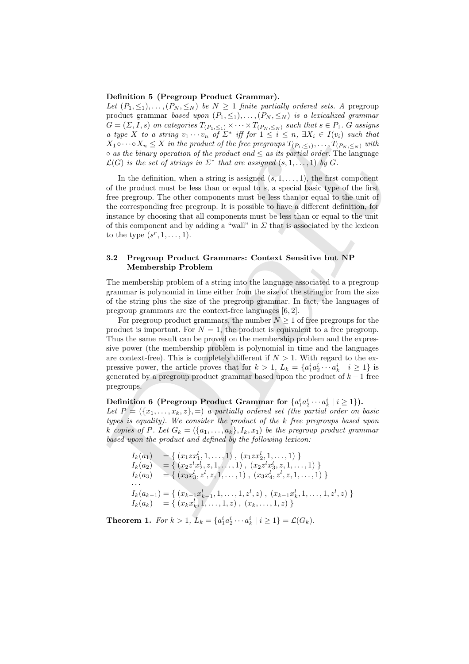#### Definition 5 (Pregroup Product Grammar).

Let  $(P_1, \leq_1), \ldots, (P_N, \leq_N)$  be  $N \geq 1$  finite partially ordered sets. A pregroup product grammar based upon  $(P_1, \leq_1), \ldots, (P_N, \leq_N)$  is a lexicalized grammar  $G = (\Sigma, I, s)$  on categories  $T_{(P_1, \leq_1)} \times \cdots \times T_{(P_N, \leq_N)}$  such that  $s \in P_1$ . G assigns a type X to a string  $v_1 \cdots v_n$  of  $\Sigma^*$  iff for  $1 \leq i \leq n$ ,  $\exists X_i \in I(v_i)$  such that  $X_1 \circ \cdots \circ X_n \leq X$  in the product of the free pregroups  $T_{(P_1, \leq_1)}, \ldots, T_{(P_N, \leq_N)}$  with  $\circ$  as the binary operation of the product and  $\leq$  as its partial order. The language  $\mathcal{L}(G)$  is the set of strings in  $\Sigma^*$  that are assigned  $(s,1,\ldots,1)$  by G.

In the definition, when a string is assigned  $(s, 1, \ldots, 1)$ , the first component of the product must be less than or equal to s, a special basic type of the first free pregroup. The other components must be less than or equal to the unit of the corresponding free pregroup. It is possible to have a different definition, for instance by choosing that all components must be less than or equal to the unit of this component and by adding a "wall" in  $\Sigma$  that is associated by the lexicon to the type  $(s^r, 1, \ldots, 1)$ .

## 3.2 Pregroup Product Grammars: Context Sensitive but NP Membership Problem

The membership problem of a string into the language associated to a pregroup grammar is polynomial in time either from the size of the string or from the size of the string plus the size of the pregroup grammar. In fact, the languages of pregroup grammars are the context-free languages [6, 2].

a laye X to a string operator of the product is  $\sum_{i=1}^{n} \sum_{j=1}^{n} \sum_{j=1}^{n} \sum_{j=1}^{n} \sum_{j=1}^{n} \sum_{j=1}^{n} \sum_{j=1}^{n} \sum_{j=1}^{n} \sum_{j=1}^{n} \sum_{j=1}^{n} \sum_{j=1}^{n} \sum_{j=1}^{n} \sum_{j=1}^{n} \sum_{j=1}^{n} \sum_{j=1}^{n} \sum_{j=1}^{n} \sum_{j=1}^{n} \sum$ For pregroup product grammars, the number  $N \geq 1$  of free pregroups for the product is important. For  $N = 1$ , the product is equivalent to a free pregroup. Thus the same result can be proved on the membership problem and the expressive power (the membership problem is polynomial in time and the languages are context-free). This is completely different if  $N > 1$ . With regard to the expressive power, the article proves that for  $k > 1$ ,  $L_k = \{a_1^i a_2^i \cdots a_k^i \mid i \geq 1\}$  is generated by a pregroup product grammar based upon the product of  $k-1$  free pregroups.

Definition 6 (Pregroup Product Grammar for  $\{a_1^i a_2^i \cdots a_k^i \mid i \geq 1\}$ ).

Let  $P = (\{x_1, \ldots, x_k, z\}, =)$  a partially ordered set (the partial order on basic types is equality). We consider the product of the k free pregroups based upon k copies of P. Let  $G_k = (\{a_1, \ldots, a_k\}, I_k, x_1)$  be the pregroup product grammar based upon the product and defined by the following lexicon:

$$
I_k(a_1) = \{ (x_1 z x_1^l, 1, ..., 1), (x_1 z x_2^l, 1, ..., 1) \}
$$
  
\n
$$
I_k(a_2) = \{ (x_2 z^l x_2^l, z, 1, ..., 1), (x_2 z^l x_3^l, z, 1, ..., 1) \}
$$
  
\n
$$
I_k(a_3) = \{ (x_3 x_3^l, z^l, z, 1, ..., 1), (x_3 x_4^l, z^l, z, 1, ..., 1) \}
$$
  
\n
$$
\vdots
$$
  
\n
$$
I_k(a_{k-1}) = \{ (x_{k-1} x_{k-1}^l, 1, ..., 1, z^l, z), (x_{k-1} x_k^l, 1, ..., 1, z^l, z) \}
$$
  
\n
$$
I_k(a_k) = \{ (x_k x_k^l, 1, ..., 1, z), (x_k, ..., 1, z) \}
$$

**Theorem 1.** For  $k > 1$ ,  $L_k = \{a_1^i a_2^i \cdots a_k^i \mid i \geq 1\} = \mathcal{L}(G_k)$ .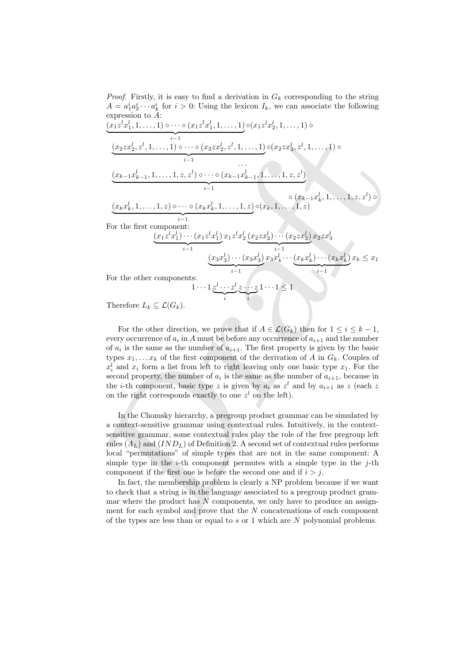*Proof.* Firstly, it is easy to find a derivation in  $G_k$  corresponding to the string  $A = a_1^i a_2^i \cdots a_k^i$  for  $i > 0$ : Using the lexicon  $I_k$ , we can associate the following expression to A:

$$
(x_1z^l x_1^l, 1, \ldots, 1) \circ \cdots \circ (x_1z^l x_1^l, 1, \ldots, 1) \circ (x_1z^l x_2^l, 1, \ldots, 1) \circ
$$
\n
$$
(x_2z x_2^l, z^l, 1, \ldots, 1, z, z^l) \circ \cdots \circ (x_2z x_2^l, z^l, 1, \ldots, 1) \circ (x_2z x_3^l, z^l, 1, \ldots, 1) \circ
$$
\n
$$
(x_{k-1}x_{k-1}^l, 1, \ldots, 1, z, z^l) \circ \cdots \circ (x_{k-1}x_{k-1}^l, 1, \ldots, 1, z, z^l) \circ (x_{k-1}x_{k-1}^l, 1, \ldots, 1, z, z^l) \circ (x_{k-1}x_{k}^l, 1, \ldots, 1, z) \circ (x_{k-1}x_{k-1}^l, 1, \ldots, 1, z, z^l) \circ (x_{k-1}x_{k}^l, 1, \ldots, 1, z) \circ (x_{k-1}x_{k-1}^l, 1, \ldots, 1, z, z^l) \circ (x_{k-1}x_{k-1}^l, 1, \ldots, 1, z, z^l) \circ (x_{k-1}x_{k-1}^l, 1, \ldots, 1, z, z^l) \circ (x_{k-1}x_{k-1}^l, 1, \ldots, 1, z, z^l) \circ (x_{k-1}x_{k-1}^l, 1, \ldots, 1, z, z^l) \circ (x_{k-1}x_{k-1}^l, 1, \ldots, 1, z, z^l) \circ (x_{k-1}x_{k-1}^l, 1, \ldots, 1, z) \circ (x_{k-1}x_{k-1}^l, 1, \ldots, 1, z) \circ (x_{k-1}x_{k-1}^l, 1, \ldots, 1, z, z^l) \circ (x_{k-1}x_{k-1}^l, 1, \ldots, 1, z) \circ (x_{k-1}x_{k-1}^l, 1, \ldots, 1, z, z^l) \circ (x_{k-1}x_{k-
$$

For the other components:

 $\overline{\mathcal{L}}$ 

s:  

$$
1 \cdots 1 \underbrace{z^l \cdots z^l}_{i} \underbrace{z \cdots z}_{i} 1 \cdots 1 \leq 1
$$

 $\cdots(x_3x)$ 

 $\overbrace{\phantom{a} \cdots}$ i−1

l 3 )  $x_3x$ l 4  $\cdots(x_kx)$ l k

 $\cdots(x_kx)$ 

 $\overline{\phantom{a}}$ i−1

l k )

 $x_k \leq x_1$ 

 $(x_3x)$ l 3

Therefore  $L_k \subseteq \mathcal{L}(G_k)$ .

For the other direction, we prove that if  $A \in \mathcal{L}(G_k)$  then for  $1 \leq i \leq k-1$ , every occurrence of  $a_i$  in A must be before any occurrence of  $a_{i+1}$  and the number of  $a_i$  is the same as the number of  $a_{i+1}$ . The first property is given by the basic types  $x_1, \ldots x_k$  of the first component of the derivation of A in  $G_k$ . Couples of  $x_i^l$  and  $x_i$  form a list from left to right leaving only one basic type  $x_1$ . For the second property, the number of  $a_i$  is the same as the number of  $a_{i+1}$ , because in the *i*-th component, basic type z is given by  $a_i$  as  $z^l$  and by  $a_{i+1}$  as z (each z on the right corresponds exactly to one  $z<sup>l</sup>$  on the left).

In the Chomsky hierarchy, a pregroup product grammar can be simulated by a context-sensitive grammar using contextual rules. Intuitively, in the contextsensitive grammar, some contextual rules play the role of the free pregroup left rules  $(A_L)$  and  $(IND_L)$  of Definition 2. A second set of contextual rules performs local "permutations" of simple types that are not in the same component: A simple type in the *i*-th component permutes with a simple type in the *j*-th component if the first one is before the second one and if  $i > j$ .

In fact, the membership problem is clearly a NP problem because if we want to check that a string is in the language associated to a pregroup product grammar where the product has  $N$  components, we only have to produce an assignment for each symbol and prove that the  $N$  concatenations of each component of the types are less than or equal to s or 1 which are  $N$  polynomial problems.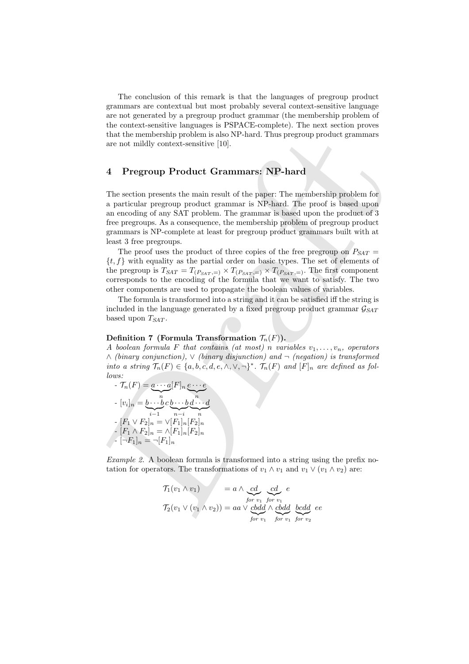The conclusion of this remark is that the languages of pregroup product grammars are contextual but most probably several context-sensitive language are not generated by a pregroup product grammar (the membership problem of the context-sensitive languages is PSPACE-complete). The next section proves that the membership problem is also NP-hard. Thus pregroup product grammars are not mildly context-sensitive [10].

## 4 Pregroup Product Grammars: NP-hard

that the membership problem is also NP-hard. Thus pregroup product grammars<br>some not mildly context-sensitive [10].<br> **4** Pregroup Product Grammars; NP-hard<br>
The section presents the main result of the space. The membershi The section presents the main result of the paper: The membership problem for a particular pregroup product grammar is NP-hard. The proof is based upon an encoding of any SAT problem. The grammar is based upon the product of 3 free pregroups. As a consequence, the membership problem of pregroup product grammars is NP-complete at least for pregroup product grammars built with at least 3 free pregroups.

The proof uses the product of three copies of the free pregroup on  $P_{SAT}$  =  ${t, f}$  with equality as the partial order on basic types. The set of elements of the pregroup is  $T_{SAT} = T_{(P_{SAT},=)} \times T_{(P_{SAT},=)} \times T_{(P_{SAT},=)}$ . The first component corresponds to the encoding of the formula that we want to satisfy. The two other components are used to propagate the boolean values of variables.

The formula is transformed into a string and it can be satisfied iff the string is included in the language generated by a fixed pregroup product grammar  $\mathcal{G}_{SAT}$ based upon  $T_{SAT}$ .

#### Definition 7 (Formula Transformation  $\mathcal{T}_n(F)$ ).

A boolean formula F that contains (at most) n variables  $v_1, \ldots, v_n$ , operators ∧ (binary conjunction), ∨ (binary disjunction) and ¬ (negation) is transformed into a string  $\mathcal{T}_n(F) \in \{a, b, c, d, e, \wedge, \vee, \neg\}^*$ .  $\mathcal{T}_n(F)$  and  $[F]_n$  are defined as follows:

$$
\tau_n(F) = \underbrace{a \cdots a}_{n}[F]_n \underbrace{e \cdots e}_{n}
$$
\n
$$
\cdot [v_i]_n = \underbrace{b \cdots b}_{i-1} c \underbrace{b \cdots b}_{n-i} \underbrace{d \cdots d}_{n}
$$
\n
$$
\cdot [F_1 \vee F_2]_n = \vee [F_1]_n [F_2]_n
$$
\n
$$
\cdot [F_1 \wedge F_2]_n = \wedge [F_1]_n [F_2]_n
$$
\n
$$
\cdot [\neg F_1]_n = \neg [F_1]_n
$$

Example 2. A boolean formula is transformed into a string using the prefix notation for operators. The transformations of  $v_1 \wedge v_1$  and  $v_1 \vee (v_1 \wedge v_2)$  are:

$$
T_1(v_1 \wedge v_1) = a \wedge \underbrace{cd}_{for \ v_1} \underbrace{cd}_{for \ v_1} e
$$
  

$$
T_2(v_1 \vee (v_1 \wedge v_2)) = aa \vee \underbrace{cbdd}_{for \ v_1} \wedge \underbrace{cbdd}_{for \ v_1} \underbrace{bcdd}_{for \ v_2} e
$$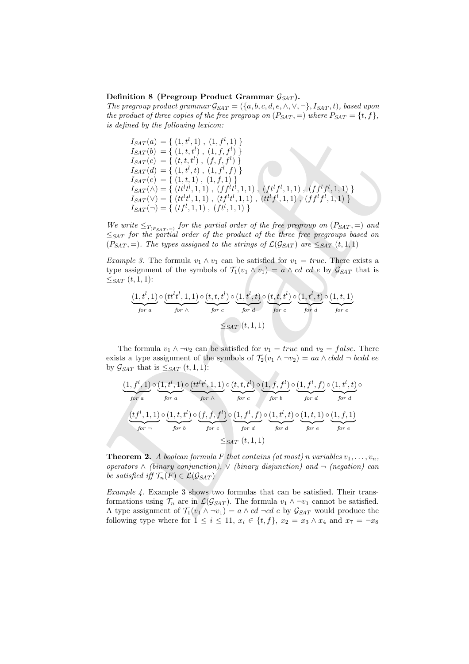#### Definition 8 (Pregroup Product Grammar  $\mathcal{G}_{SAT}$ ).

The pregroup product grammar  $\mathcal{G}_{SAT} = (\{a, b, c, d, e, \wedge, \vee, \neg\}, I_{SAT}, t)$ , based upon the product of three copies of the free pregroup on  $(P_{SAT}, =)$  where  $P_{SAT} = \{t, f\}$ , is defined by the following lexicon:

$$
I_{SAT}(a) = \{ (1, t^l, 1), (1, f^l, 1) \}
$$
\n
$$
I_{SAT}(b) = \{ (1, t, t^l), (1, f, f^l) \}
$$
\n
$$
I_{SAT}(c) = \{ (t, t, t^l), (t, f, f^l) \}
$$
\n
$$
I_{SAT}(d) = \{ (1, t^l, 1), (1, f^l, 1) \}
$$
\n
$$
I_{SAT}(e) = \{ (1, t, 1), (1, f^l, 1) \}
$$
\n
$$
I_{SAT}(e) = \{ (1, t, 1), (1, t^l, 1) \}
$$
\n
$$
I_{SAT}(f) = \{ (tt^l t^l, 1, 1), (t^l t^l, 1, 1), (t^l t^l, 1, 1), (t^l t^l, 1, 1), (t^l t^l, 1, 1) \}
$$
\n
$$
I_{SAT}(\tau) = \{ (tt^l t^l, 1, 1), (t^l t^l, 1, 1), (t^l t^l, 1, 1), (t^l t^l, 1, 1), (t^l t^l, 1, 1) \}
$$
\n
$$
I_{SAT}(f) = \{ (tt^l t^l, 1, 1), (t^l t^l, 1, 1), (t^l t^l, 1, 1), (t^l t^l, 1, 1), (t^l t^l, 1, 1) \}
$$
\n
$$
I_{SAT}(p) the partial order of the free frequency on (P_{SAT}) = 0
$$
\n
$$
P_{SAT} = 0
$$
\n
$$
P_{SAT} = 0
$$
\n
$$
P_{SAT} = 0
$$
\n
$$
P_{SAT} = 0
$$
\n
$$
P_{SAT} = 0
$$
\n
$$
P_{SAT} = 0
$$
\n
$$
P_{SAT} = 0
$$
\n
$$
P_{off} = 0
$$
\n
$$
P_{off} = 0
$$
\n
$$
P_{off} = 0
$$
\n
$$
P_{off} = 0
$$
\n
$$
P_{off} = 0
$$
\n
$$
P_{off} = 0
$$
\n
$$
P_{off
$$

We write  $\leq_{T_{(P_{SAT},=)}}$  for the partial order of the free pregroup on  $(P_{SAT},=)$  and  $\leq_{SAT}$  for the partial order of the product of the three free pregroups based on  $(P_{SAT}, =)$ . The types assigned to the strings of  $\mathcal{L}(\mathcal{G}_{SAT})$  are  $\leq_{SAT} (t, 1, 1)$ 

Example 3. The formula  $v_1 \wedge v_1$  can be satisfied for  $v_1 = true$ . There exists a type assignment of the symbols of  $\mathcal{T}_1(v_1 \wedge v_1) = a \wedge cd \cdots cd \cdots e$  by  $\mathcal{G}_{SAT}$  that is  $\leq_{SAT} (t, 1, 1)$ :

$$
\underbrace{(1, t^l, 1)}_{\text{for } a} \circ \underbrace{(tt^l t^l, 1, 1)}_{\text{for } \wedge} \circ \underbrace{(t, t, t^l)}_{\text{for } c} \circ \underbrace{(1, t^l, t)}_{\text{for } d} \circ \underbrace{(t, t, t^l)}_{\text{for } c} \circ \underbrace{(1, t^l, t)}_{\text{for } d} \circ \underbrace{(1, t, 1)}_{\text{for } e}
$$
\n
$$
\leq_{SAT} (t, 1, 1)
$$

The formula  $v_1 \wedge \neg v_2$  can be satisfied for  $v_1 = true$  and  $v_2 = false$ . There exists a type assignment of the symbols of  $\mathcal{T}_2(v_1 \wedge \neg v_2) = aa \wedge cbdd \neg bcdd$  ee by  $\mathcal{G}_{SAT}$  that is  $\leq_{SAT} (t, 1, 1)$ :

$$
\underbrace{(1, f^l, 1)}_{for a} \circ \underbrace{(1, t^l, 1)}_{for a} \circ \underbrace{(tt^l t^l, 1, 1)}_{for \wedge} \circ \underbrace{(t, f, t^l)}_{for c} \circ \underbrace{(1, f, f^l)}_{for b} \circ \underbrace{(1, f^l, f)}_{for d} \circ \underbrace{(1, f^l, f)}_{for d} \circ \underbrace{(1, t^l, t)}_{for d} \circ \underbrace{(1, t^l, t)}_{for e} \circ \underbrace{(1, t^l, 1, 1)}_{for e} \circ \underbrace{(1, t^l, 1, 1)}_{for e} \circ \underbrace{(1, f, 1)}_{for e} \circ \underbrace{(1, f, 1)}_{for e}
$$

**Theorem 2.** A boolean formula F that contains (at most) n variables  $v_1, \ldots, v_n$ , operators  $\wedge$  (binary conjunction),  $\vee$  (binary disjunction) and  $\neg$  (negation) can be satisfied iff  $\mathcal{T}_n(F) \in \mathcal{L}(\mathcal{G}_{SAT})$ 

Example 4. Example 3 shows two formulas that can be satisfied. Their transformations using  $\mathcal{T}_n$  are in  $\mathcal{L}(\mathcal{G}_{SAT})$ . The formula  $v_1 \wedge \neg v_1$  cannot be satisfied. A type assignment of  $\mathcal{T}_1(v_1 \wedge \neg v_1) = a \wedge cd \neg cd \vee e$  by  $\mathcal{G}_{SAT}$  would produce the following type where for  $1 \leq i \leq 11$ ,  $x_i \in \{t, f\}$ ,  $x_2 = x_3 \wedge x_4$  and  $x_7 = \neg x_8$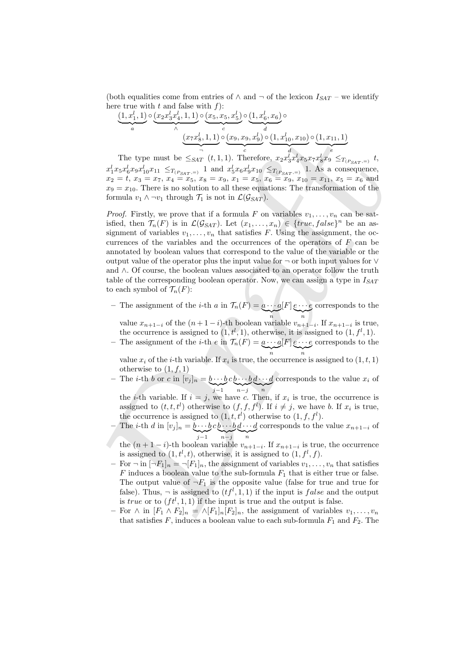(both equalities come from entries of  $\wedge$  and  $\neg$  of the lexicon  $I_{SAT}$  – we identify here true with t and false with  $f$ :

$$
\underbrace{(1, x_1^l, 1)}_a \circ \underbrace{(x_2 x_3^l x_4^l, 1, 1)}_a \circ \underbrace{(x_5, x_5, x_5^l)}_c \circ \underbrace{(1, x_6^l, x_6)}_d \circ \underbrace{(1, x_{10}^l, x_{10}^l)}_d \circ \underbrace{(1, x_{11}^l, 1)}_e
$$

The type must be  $\leq_{SAT} (t, 1, 1)$ . Therefore,  $x_2 x_3^l x_4^l x_5 x_7 x_8^l x_9 \leq_{T_{(P_{SAT},=)}} t$ ,  $x_1^l x_5 x_6^l x_9 x_{10}^l x_{11} \leq_{T_{(P_{SAT},=)}} 1$  and  $x_5^l x_6 x_9^l x_{10} \leq_{T_{(P_{SAT},=)}} 1$ . As a consequence,  $x_2 = t, x_3 = x_7, x_4 = x_5, x_8 = x_9, x_1 = x_5, x_6 = x_9, x_{10} = x_{11}, x_5 = x_6$  and  $x_9 = x_{10}$ . There is no solution to all these equations: The transformation of the formula  $v_1 \wedge \neg v_1$  through  $\mathcal{T}_1$  is not in  $\mathcal{L}(\mathcal{G}_{SAT})$ .

 $\label{eq:2.1} \frac{(x_7x_0^j,1,1)}{(x_1x_0^j, x_0x_1^j,1,1)} \frac{(x_0,x_0,x_0^j)}{(x_0^j, x_0^j, x_0^j, x_0^j)} \frac{(1,x_0,x_1)^5}{(1,x_0^j, x_0^j, x_0^j, x_0^j, x_0^j, x_0^j)} \leq \frac{1}{x_1^j}x_0x_0^jx_0^jx_0^jx_1^jx_0^jx_1^jx_0^jx_1^jx_0^jx_0^jx_0^jx_0^jx_0^$ *Proof.* Firstly, we prove that if a formula F on variables  $v_1, \ldots, v_n$  can be satisfied, then  $\mathcal{T}_n(F)$  is in  $\mathcal{L}(\mathcal{G}_{SAT})$ . Let  $(x_1, \ldots, x_n) \in \{true, false\}^n$  be an assignment of variables  $v_1, \ldots, v_n$  that satisfies F. Using the assignment, the occurrences of the variables and the occurrences of the operators of  $F$  can be annotated by boolean values that correspond to the value of the variable or the output value of the operator plus the input value for ¬ or both input values for ∨ and ∧. Of course, the boolean values associated to an operator follow the truth table of the corresponding boolean operator. Now, we can assign a type in  $I_{SAT}$ to each symbol of  $\mathcal{T}_n(F)$ :

– The assignment of the *i*-th *a* in  $\mathcal{T}_n(F) = a \cdots a$  $\sum_{n}$  $[F]$   $e\cdots e$  $\sum_{n}$ corresponds to the

value  $x_{n+1-i}$  of the  $(n+1-i)$ -th boolean variable  $v_{n+1-i}$ . If  $x_{n+1-i}$  is true, the occurrence is assigned to  $(1, t^l, 1)$ , otherwise, it is assigned to  $(1, t^l, 1)$ .

– The assignment of the *i*-th *e* in  $\mathcal{T}_n(F) = a \cdots a$  $\sum_{n}$ n  $[F]$   $e\cdots e$  $\sum_{n}$ n corresponds to the

value  $x_i$  of the *i*-th variable. If  $x_i$  is true, the occurrence is assigned to  $(1, t, 1)$ otherwise to  $(1, f, 1)$ 

– The *i*-th *b* or *c* in  $[v_j]_n = b \cdots b$  $\sum_{j-1}$  $c\, b \cdots b$  $\sum_{n-j}$  $d\cdots d$  $\bigvee_n$ corresponds to the value  $x_i$  of

the *i*-th variable. If  $i = j$ , we have c. Then, if  $x_i$  is true, the occurrence is assigned to  $(t, t, t^l)$  otherwise to  $(f, f, f^l)$ . If  $i \neq j$ , we have b. If  $x_i$  is true, the occurrence is assigned to  $(1, t, t^l)$  otherwise to  $(1, f, f^l)$ .

- The *i*-th *d* in  $[v_j]_n = \underline{b} \cdots \underline{b}$  $\sum_{j-1}$  $c\, b \cdots b$  $\sum_{n-j}$  $d\cdots d$  $\sum_{n}$ corresponds to the value  $x_{n+1-i}$  of
- the  $(n+1-i)$ -th boolean variable  $v_{n+1-i}$ . If  $x_{n+1-i}$  is true, the occurrence is assigned to  $(1, t<sup>l</sup>, t)$ , otherwise, it is assigned to  $(1, f<sup>l</sup>, f)$ .
- For  $\neg$  in  $\neg F_1|_n = \neg [F_1]_n$ , the assignment of variables  $v_1, \ldots, v_n$  that satisfies F induces a boolean value to the sub-formula  $F_1$  that is either true or false. The output value of  $\neg F_1$  is the opposite value (false for true and true for false). Thus,  $\neg$  is assigned to  $(tf^l, 1, 1)$  if the input is *false* and the output is true or to  $(rt<sup>l</sup>, 1, 1)$  if the input is true and the output is false.
- For  $\wedge$  in  $[F_1 \wedge F_2]_n = \wedge [F_1]_n [F_2]_n$ , the assignment of variables  $v_1, \ldots, v_n$ that satisfies  $F$ , induces a boolean value to each sub-formula  $F_1$  and  $F_2$ . The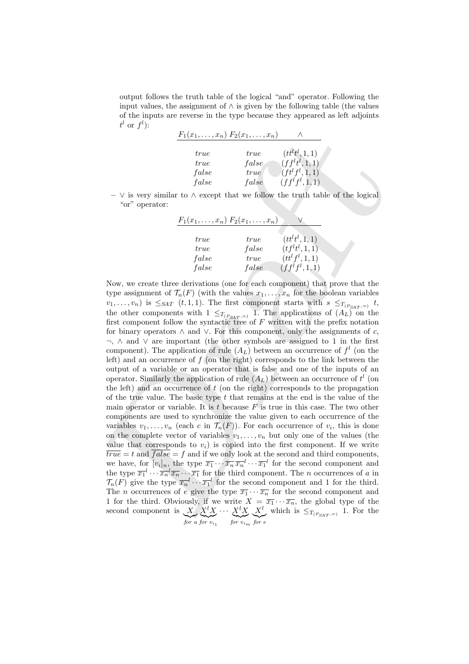output follows the truth table of the logical "and" operator. Following the input values, the assignment of  $\wedge$  is given by the following table (the values of the inputs are reverse in the type because they appeared as left adjoints  $t^l$  or  $f^l$ ):

| $F_1(x_1,,x_n) F_2(x_1,,x_n)$ |             |                         |
|-------------------------------|-------------|-------------------------|
| <i>true</i>                   | <i>true</i> | $(tt^lt^l, 1, 1)$       |
| <i>true</i>                   | false       | $(f f^{l} t^{l}, 1, 1)$ |
| false                         | true        | $(f t^{l} f^{l}, 1, 1)$ |
| false                         | false       | $(f f^l f^l, 1, 1)$     |

 $\vee$  is very similar to  $\wedge$  except that we follow the truth table of the logical "or" operator:

| $F_1(x_1,,x_n) F_2(x_1,,x_n)$ |       |                                          |
|-------------------------------|-------|------------------------------------------|
|                               |       |                                          |
| <i>true</i>                   | true  | $(tt^{l}t^{l}, 1, 1)$                    |
| <i>true</i>                   | false | $(tf^{l}t^{l}, 1, 1)$                    |
| false                         | true  | $(tt^{l} f^{l}, 1, 1)$                   |
| false                         | false | (f f <sup>l</sup> f <sup>l</sup> , 1, 1) |

 $\begin{array}{ll} \frac{F_1(x_1,\ldots,x_n)\ F_2(x_1,\ldots,x_n)}{F_1(x_1,\ldots,x_n)}\\ \text{true} & \text{true} & \text{false} & \text{true} \\ \text{true} & \text{false} & \text{true} \\ \text{false} & \text{true} & \text{true} \\ \text{false} & \text{true} \\ \text{false} & \text{true} \\ \text{false} & \text{true} \\ \text{true} & \text{false} \\ \text{true} & \text{false} \\ \text{true} & \text{false} \\ \text{true} & \text{true} \\ \text{true} & \text{true} \\ \text{true} & \text{true} \\ \text{true$ Now, we create three derivations (one for each component) that prove that the type assignment of  $\mathcal{T}_n(F)$  (with the values  $x_1, \ldots, x_n$  for the boolean variables  $v_1, \ldots, v_n$ ) is  $\leq_{SAT} (t, 1, 1)$ . The first component starts with  $s \leq_{T(P_{SAT},=)} t$ , the other components with  $1 \leq_{T(P_{SAT},=)} 1$ . The applications of  $(A_L)$  on the first component follow the syntactic tree of  $F$  written with the prefix notation for binary operators  $\land$  and  $\lor$ . For this component, only the assignments of c, ¬, ∧ and ∨ are important (the other symbols are assigned to 1 in the first component). The application of rule  $(A_L)$  between an occurrence of  $f<sup>l</sup>$  (on the left) and an occurrence of  $f$  (on the right) corresponds to the link between the output of a variable or an operator that is false and one of the inputs of an operator. Similarly the application of rule  $(A_L)$  between an occurrence of  $t^l$  (on the left) and an occurrence of  $t$  (on the right) corresponds to the propagation of the true value. The basic type  $t$  that remains at the end is the value of the main operator or variable. It is t because  $F$  is true in this case. The two other components are used to synchronize the value given to each occurrence of the variables  $v_1, \ldots, v_n$  (each c in  $\mathcal{T}_n(F)$ ). For each occurrence of  $v_i$ , this is done on the complete vector of variables  $v_1, \ldots, v_n$  but only one of the values (the value that corresponds to  $v_i$ ) is copied into the first component. If we write  $\overline{true} = t$  and  $\overline{false} = f$  and if we only look at the second and third components, we have, for  $[v_i]_n$ , the type  $\overline{x_1} \cdots \overline{x_n} \overline{x_n}^l \cdots \overline{x_1}^l$  for the second component and the type  $\overline{x_1}^l \cdots \overline{x_n}^l \overline{x_n} \cdots \overline{x_1}$  for the third component. The *n* occurrences of *a* in  $\mathcal{T}_n(F)$  give the type  $\overline{x_n}^l \cdots \overline{x_1}^l$  for the second component and 1 for the third. The *n* occurrences of *e* give the type  $\overline{x_1} \cdots \overline{x_n}$  for the second component and 1 for the third. Obviously, if we write  $X = \overline{x_1} \cdots \overline{x_n}$ , the global type of the second component is  $X$  $\sum_{x}^{X} \sum_{y}^{y} \sum_{y}^{y} \cdots \sum_{y}^{y} \sum_{y}^{y} \sum_{y}^{y}$  $X^l$  $\sum_{for \ e}$ which is  $\leq_{T_{(P_{SAT},=)}} 1$ . For the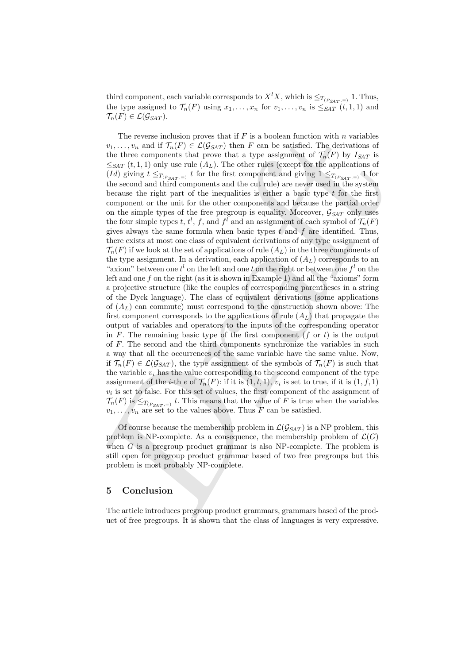third component, each variable corresponds to  $X<sup>l</sup>X$ , which is  $\leq_{T(P_{SAT},=)} 1$ . Thus, the type assigned to  $\mathcal{T}_n(F)$  using  $x_1, \ldots, x_n$  for  $v_1, \ldots, v_n$  is  $\leq_{SAT} (t, 1, 1)$  and  $\mathcal{T}_n(F) \in \mathcal{L}(\mathcal{G}_{SAT}).$ 

The reverse inclusion proves that if F is a booksan function with *n* variables of the three components that, proves that if F is a booksan function of  $T_{\rm g}(F_1)$  by  $I_{\rm star}$ ,  $\eta_{\rm eff}$ , t.) only use rule ( $I_{\rm H}(F_1)$  The reverse inclusion proves that if  $F$  is a boolean function with  $n$  variables  $v_1, \ldots, v_n$  and if  $\mathcal{T}_n(F) \in \mathcal{L}(\mathcal{G}_{SAT})$  then F can be satisfied. The derivations of the three components that prove that a type assignment of  $\mathcal{T}_n(F)$  by  $I_{SAT}$  is  $\leq_{SAT} (t, 1, 1)$  only use rule  $(A_L)$ . The other rules (except for the applications of (Id) giving  $t \leq_{T(P_{SAT},=)} t$  for the first component and giving  $1 \leq_{T(P_{SAT},=)} 1$  for the second and third components and the cut rule) are never used in the system because the right part of the inequalities is either a basic type  $t$  for the first component or the unit for the other components and because the partial order on the simple types of the free pregroup is equality. Moreover,  $\mathcal{G}_{SAT}$  only uses the four simple types t,  $t^l$ ,  $f$ , and  $f^l$  and an assignment of each symbol of  $\mathcal{T}_n(F)$ gives always the same formula when basic types  $t$  and  $f$  are identified. Thus, there exists at most one class of equivalent derivations of any type assignment of  $\mathcal{T}_n(F)$  if we look at the set of applications of rule  $(A_L)$  in the three components of the type assignment. In a derivation, each application of  $(A_L)$  corresponds to an "axiom" between one  $t^l$  on the left and one t on the right or between one  $f^l$  on the left and one  $f$  on the right (as it is shown in Example 1) and all the "axioms" form a projective structure (like the couples of corresponding parentheses in a string of the Dyck language). The class of equivalent derivations (some applications of  $(A_L)$  can commute) must correspond to the construction shown above: The first component corresponds to the applications of rule  $(A_L)$  that propagate the output of variables and operators to the inputs of the corresponding operator in F. The remaining basic type of the first component  $(f \text{ or } t)$  is the output of  $F$ . The second and the third components synchronize the variables in such a way that all the occurrences of the same variable have the same value. Now, if  $\mathcal{T}_n(F) \in \mathcal{L}(\mathcal{G}_{SAT})$ , the type assignment of the symbols of  $\mathcal{T}_n(F)$  is such that the variable  $v_i$  has the value corresponding to the second component of the type assignment of the *i*-th *e* of  $\mathcal{T}_n(F)$ : if it is  $(1, t, 1)$ ,  $v_i$  is set to true, if it is  $(1, f, 1)$  $v_i$  is set to false. For this set of values, the first component of the assignment of  $\mathcal{T}_n(F)$  is  $\leq_{T(P_{SAT},=)} t$ . This means that the value of F is true when the variables  $v_1, \ldots, v_n$  are set to the values above. Thus F can be satisfied.

Of course because the membership problem in  $\mathcal{L}(\mathcal{G}_{SAT})$  is a NP problem, this problem is NP-complete. As a consequence, the membership problem of  $\mathcal{L}(G)$ when  $G$  is a pregroup product grammar is also NP-complete. The problem is still open for pregroup product grammar based of two free pregroups but this problem is most probably NP-complete.

### 5 Conclusion

The article introduces pregroup product grammars, grammars based of the product of free pregroups. It is shown that the class of languages is very expressive.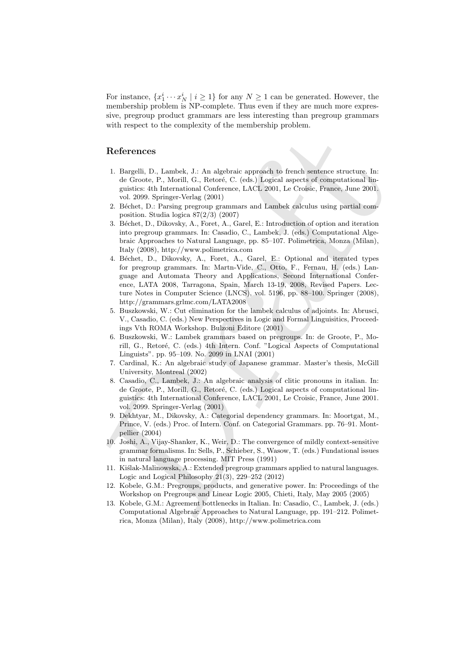For instance,  $\{x_1^i \cdots x_N^i \mid i \geq 1\}$  for any  $N \geq 1$  can be generated. However, the membership problem is NP-complete. Thus even if they are much more expressive, pregroup product grammars are less interesting than pregroup grammars with respect to the complexity of the membership problem.

# References

- 1. Bargelli, D., Lambek, J.: An algebraic approach to french sentence structure. In: de Groote, P., Morill, G., Retoré, C. (eds.) Logical aspects of computational linguistics: 4th International Conference, LACL 2001, Le Croisic, France, June 2001. vol. 2099. Springer-Verlag (2001)
- 2. Béchet, D.: Parsing pregroup grammars and Lambek calculus using partial composition. Studia logica 87(2/3) (2007)
- 3. B´echet, D., Dikovsky, A., Foret, A., Garel, E.: Introduction of option and iteration into pregroup grammars. In: Casadio, C., Lambek, J. (eds.) Computational Algebraic Approaches to Natural Language, pp. 85–107. Polimetrica, Monza (Milan), Italy (2008), http://www.polimetrica.com
- References  $\begin{array}{l} \mbox{ \bf \text{R} of the C1-20} \\ \mbox{ \bf \text{R} of the C1-20} \\ \mbox{ \bf \text{R} of the C1-20} \\ \mbox{ \bf \text{R} of the C1-20} \\ \mbox{ \bf \text{R} of the C1-20} \\ \mbox{ \bf \text{R} of the C1-20} \\ \mbox{ \bf \text{R} of the C1-20} \\ \mbox{ \bf \text{R} of the C1-20} \\ \mbox{ \bf \text{R} of the C1-20} \\ \mbox{ \bf \text{R} of the C1-20} \\ \m$ 4. B´echet, D., Dikovsky, A., Foret, A., Garel, E.: Optional and iterated types for pregroup grammars. In: Martn-Vide, C., Otto, F., Fernau, H. (eds.) Language and Automata Theory and Applications, Second International Conference, LATA 2008, Tarragona, Spain, March 13-19, 2008, Revised Papers. Lecture Notes in Computer Science (LNCS), vol. 5196, pp. 88–100. Springer (2008), http://grammars.grlmc.com/LATA2008
	- 5. Buszkowski, W.: Cut elimination for the lambek calculus of adjoints. In: Abrusci, V., Casadio, C. (eds.) New Perspectives in Logic and Formal Linguisitics, Proceedings Vth ROMA Workshop. Bulzoni Editore (2001)
	- 6. Buszkowski, W.: Lambek grammars based on pregroups. In: de Groote, P., Morill, G., Retoré, C. (eds.) 4th Intern. Conf. "Logical Aspects of Computational Linguists". pp. 95–109. No. 2099 in LNAI (2001)
	- 7. Cardinal, K.: An algebraic study of Japanese grammar. Master's thesis, McGill University, Montreal (2002)
	- 8. Casadio, C., Lambek, J.: An algebraic analysis of clitic pronouns in italian. In: de Groote, P., Morill, G., Retoré, C. (eds.) Logical aspects of computational linguistics: 4th International Conference, LACL 2001, Le Croisic, France, June 2001. vol. 2099. Springer-Verlag (2001)
	- 9. Dekhtyar, M., Dikovsky, A.: Categorial dependency grammars. In: Moortgat, M., Prince, V. (eds.) Proc. of Intern. Conf. on Categorial Grammars. pp. 76–91. Montpellier (2004)
	- 10. Joshi, A., Vijay-Shanker, K., Weir, D.: The convergence of mildly context-sensitive grammar formalisms. In: Sells, P., Schieber, S., Wasow, T. (eds.) Fundational issues in natural language processing. MIT Press (1991)
	- 11. Kiślak-Malinowska, A.: Extended pregroup grammars applied to natural languages. Logic and Logical Philosophy  $21(3)$ ,  $229-252$   $(2012)$
	- 12. Kobele, G.M.: Pregroups, products, and generative power. In: Proceedings of the Workshop on Pregroups and Linear Logic 2005, Chieti, Italy, May 2005 (2005)
	- 13. Kobele, G.M.: Agreement bottlenecks in Italian. In: Casadio, C., Lambek, J. (eds.) Computational Algebraic Approaches to Natural Language, pp. 191–212. Polimetrica, Monza (Milan), Italy (2008), http://www.polimetrica.com